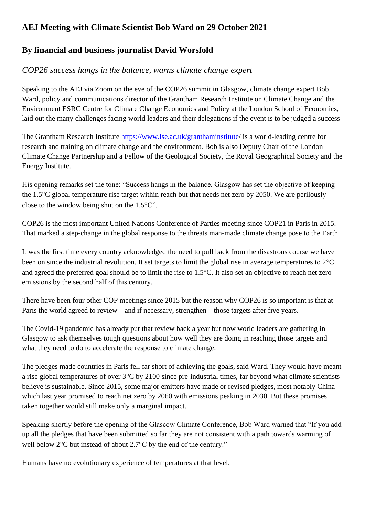## **AEJ Meeting with Climate Scientist Bob Ward on 29 October 2021**

## **By financial and business journalist David Worsfold**

## *COP26 success hangs in the balance, warns climate change expert*

Speaking to the AEJ via Zoom on the eve of the COP26 summit in Glasgow, climate change expert Bob Ward, policy and communications director of the Grantham Research Institute on Climate Change and the Environment ESRC Centre for Climate Change Economics and Policy at the London School of Economics, laid out the many challenges facing world leaders and their delegations if the event is to be judged a success

The Grantham Research Institute <https://www.lse.ac.uk/granthaminstitute/> is a world-leading centre for research and training on climate change and the environment. Bob is also Deputy Chair of the London Climate Change Partnership and a Fellow of the Geological Society, the Royal Geographical Society and the Energy Institute.

His opening remarks set the tone: "Success hangs in the balance. Glasgow has set the objective of keeping the 1.5°C global temperature rise target within reach but that needs net zero by 2050. We are perilously close to the window being shut on the  $1.5^{\circ}$ C".

COP26 is the most important United Nations Conference of Parties meeting since COP21 in Paris in 2015. That marked a step-change in the global response to the threats man-made climate change pose to the Earth.

It was the first time every country acknowledged the need to pull back from the disastrous course we have been on since the industrial revolution. It set targets to limit the global rise in average temperatures to  $2^{\circ}C$ and agreed the preferred goal should be to limit the rise to 1.5°C. It also set an objective to reach net zero emissions by the second half of this century.

There have been four other COP meetings since 2015 but the reason why COP26 is so important is that at Paris the world agreed to review – and if necessary, strengthen – those targets after five years.

The Covid-19 pandemic has already put that review back a year but now world leaders are gathering in Glasgow to ask themselves tough questions about how well they are doing in reaching those targets and what they need to do to accelerate the response to climate change.

The pledges made countries in Paris fell far short of achieving the goals, said Ward. They would have meant a rise global temperatures of over  $3^{\circ}$ C by 2100 since pre-industrial times, far beyond what climate scientists believe is sustainable. Since 2015, some major emitters have made or revised pledges, most notably China which last year promised to reach net zero by 2060 with emissions peaking in 2030. But these promises taken together would still make only a marginal impact.

Speaking shortly before the opening of the Glascow Climate Conference, Bob Ward warned that "If you add up all the pledges that have been submitted so far they are not consistent with a path towards warming of well below  $2^{\circ}$ C but instead of about  $2.7^{\circ}$ C by the end of the century."

Humans have no evolutionary experience of temperatures at that level.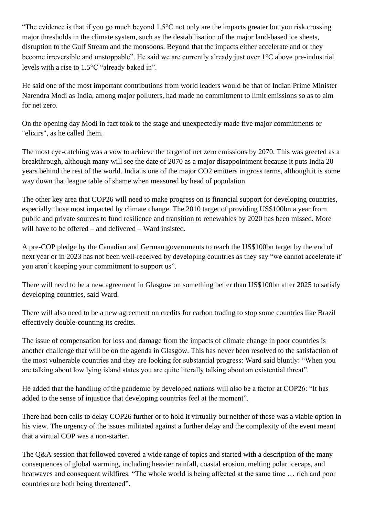"The evidence is that if you go much beyond  $1.5^{\circ}$ C not only are the impacts greater but you risk crossing major thresholds in the climate system, such as the destabilisation of the major land-based ice sheets, disruption to the Gulf Stream and the monsoons. Beyond that the impacts either accelerate and or they become irreversible and unstoppable". He said we are currently already just over 1°C above pre-industrial levels with a rise to 1.5°C "already baked in".

He said one of the most important contributions from world leaders would be that of Indian Prime Minister Narendra Modi as India, among major polluters, had made no commitment to limit emissions so as to aim for net zero.

On the opening day Modi in fact took to the stage and unexpectedly made five major commitments or "elixirs", as he called them.

The most eye-catching was a vow to achieve the target of net zero emissions by 2070. This was greeted as a breakthrough, although many will see the date of 2070 as a major disappointment because it puts India 20 years behind the rest of the world. India is one of the major CO2 emitters in gross terms, although it is some way down that league table of shame when measured by head of population.

The other key area that COP26 will need to make progress on is financial support for developing countries, especially those most impacted by climate change. The 2010 target of providing US\$100bn a year from public and private sources to fund resilience and transition to renewables by 2020 has been missed. More will have to be offered – and delivered – Ward insisted.

A pre-COP pledge by the Canadian and German governments to reach the US\$100bn target by the end of next year or in 2023 has not been well-received by developing countries as they say "we cannot accelerate if you aren't keeping your commitment to support us".

There will need to be a new agreement in Glasgow on something better than US\$100bn after 2025 to satisfy developing countries, said Ward.

There will also need to be a new agreement on credits for carbon trading to stop some countries like Brazil effectively double-counting its credits.

The issue of compensation for loss and damage from the impacts of climate change in poor countries is another challenge that will be on the agenda in Glasgow. This has never been resolved to the satisfaction of the most vulnerable countries and they are looking for substantial progress: Ward said bluntly: "When you are talking about low lying island states you are quite literally talking about an existential threat".

He added that the handling of the pandemic by developed nations will also be a factor at COP26: "It has added to the sense of injustice that developing countries feel at the moment".

There had been calls to delay COP26 further or to hold it virtually but neither of these was a viable option in his view. The urgency of the issues militated against a further delay and the complexity of the event meant that a virtual COP was a non-starter.

The Q&A session that followed covered a wide range of topics and started with a description of the many consequences of global warming, including heavier rainfall, coastal erosion, melting polar icecaps, and heatwaves and consequent wildfires. "The whole world is being affected at the same time … rich and poor countries are both being threatened".